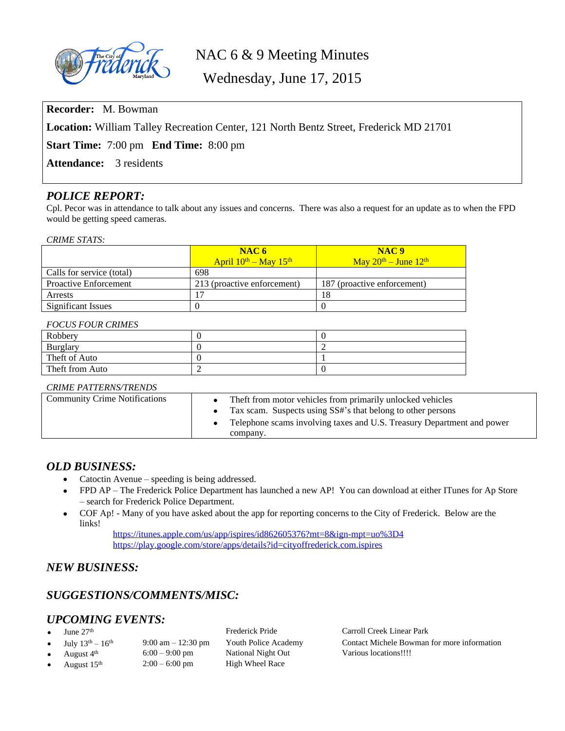

# NAC 6 & 9 Meeting Minutes

Wednesday, June 17, 2015

**Recorder:** M. Bowman

**Location:** William Talley Recreation Center, 121 North Bentz Street, Frederick MD 21701

**Start Time:** 7:00 pm **End Time:** 8:00 pm

**Attendance:** 3 residents

# *POLICE REPORT:*

Cpl. Pecor was in attendance to talk about any issues and concerns. There was also a request for an update as to when the FPD would be getting speed cameras.

### *CRIME STATS:*

|                              | NAC6                            | NAC <sub>9</sub>                                                                              |
|------------------------------|---------------------------------|-----------------------------------------------------------------------------------------------|
|                              | April $10^{th}$ – May $15^{th}$ | $\frac{\text{Mav } 20^{\text{th}} - \text{June } 12^{\text{th}}}{\text{The } 12^{\text{th}}}$ |
| Calls for service (total)    | 698                             |                                                                                               |
| <b>Proactive Enforcement</b> | 213 (proactive enforcement)     | 187 (proactive enforcement)                                                                   |
| <b>Arrests</b>               |                                 | 18                                                                                            |
| Significant Issues           |                                 |                                                                                               |

### *FOCUS FOUR CRIMES*

| Robbery         |  |
|-----------------|--|
| Burglary        |  |
| Theft of Auto   |  |
| Theft from Auto |  |

### *CRIME PATTERNS/TRENDS*

| <b>Community Crime Notifications</b> | Theft from motor vehicles from primarily unlocked vehicles<br>Tax scam. Suspects using SS#'s that belong to other persons |
|--------------------------------------|---------------------------------------------------------------------------------------------------------------------------|
|                                      | Telephone scams involving taxes and U.S. Treasury Department and power<br>company.                                        |

### *OLD BUSINESS:*

- Catoctin Avenue speeding is being addressed.
- FPD AP The Frederick Police Department has launched a new AP! You can download at either ITunes for Ap Store – search for Frederick Police Department.
- COF Ap! Many of you have asked about the app for reporting concerns to the City of Frederick. Below are the links!

<https://itunes.apple.com/us/app/ispires/id862605376?mt=8&ign-mpt=uo%3D4> <https://play.google.com/store/apps/details?id=cityoffrederick.com.ispires>

# *NEW BUSINESS:*

# *SUGGESTIONS/COMMENTS/MISC:*

# *UPCOMING EVENTS:*

- -
- 
- 
- August  $15<sup>th</sup>$  2:00 6:00 pm High Wheel Race

August  $4^{\text{th}}$  6:00 – 9:00 pm  $\frac{\text{National Night Out}}{\text{Angle}}$  Various locations!!!!<br>August  $15^{\text{th}}$  2:00 – 6:00 pm  $\frac{\text{High Whole} \times \text{Value}}{\text{High Whole} \times \text{Value}}$ 

June 27<sup>th</sup> Frederick Pride Carroll Creek Linear Park July  $13<sup>th</sup> - 16<sup>th</sup>$  9:00 am – 12:30 pm Youth Police Academy Contact Michele Bowman for more information